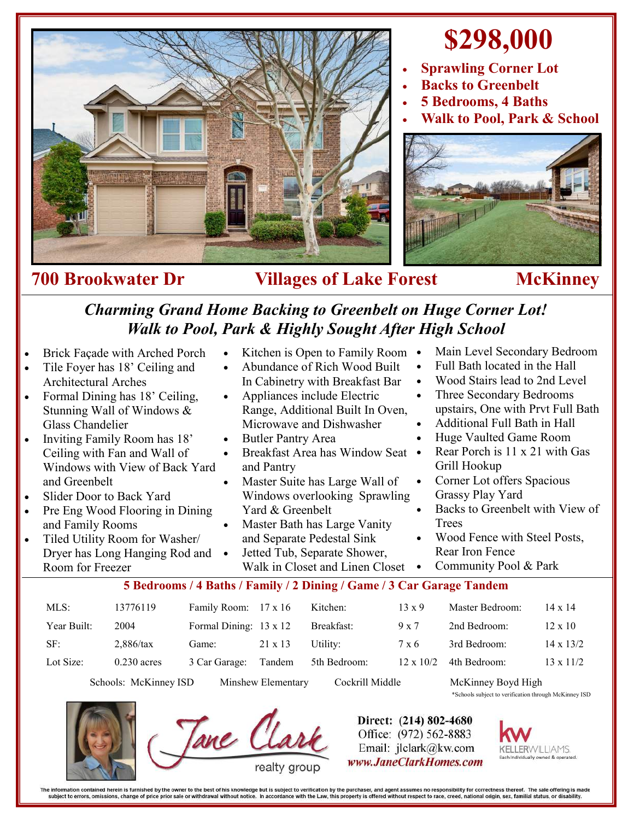

# **\$298,000**

- **Sprawling Corner Lot**
- **Backs to Greenbelt**
- **5 Bedrooms, 4 Baths**
- **Walk to Pool, Park & School**



### **700 Brookwater Dr Villages of Lake Forest McKinney**

## *Charming Grand Home Backing to Greenbelt on Huge Corner Lot! Walk to Pool, Park & Highly Sought After High School*

• Kitchen is Open to Family Room • Abundance of Rich Wood Built In Cabinetry with Breakfast Bar

- Brick Façade with Arched Porch
- Tile Foyer has 18' Ceiling and Architectural Arches
- Formal Dining has 18' Ceiling, Stunning Wall of Windows & Glass Chandelier
- Inviting Family Room has 18' Ceiling with Fan and Wall of Windows with View of Back Yard and Greenbelt
- Slider Door to Back Yard
- Pre Eng Wood Flooring in Dining and Family Rooms
- Tiled Utility Room for Washer/ Dryer has Long Hanging Rod and Room for Freezer
- Appliances include Electric Range, Additional Built In Oven, Microwave and Dishwasher
- Butler Pantry Area
- Breakfast Area has Window Seat and Pantry
- Master Suite has Large Wall of Windows overlooking Sprawling Yard & Greenbelt
- Master Bath has Large Vanity and Separate Pedestal Sink
- Jetted Tub, Separate Shower, Walk in Closet and Linen Closet •
- Main Level Secondary Bedroom
- Full Bath located in the Hall
- Wood Stairs lead to 2nd Level
- Three Secondary Bedrooms upstairs, One with Prvt Full Bath
- Additional Full Bath in Hall
- Huge Vaulted Game Room
- Rear Porch is 11 x 21 with Gas Grill Hookup
- Corner Lot offers Spacious Grassy Play Yard
- Backs to Greenbelt with View of **Trees**
- Wood Fence with Steel Posts, Rear Iron Fence
- Community Pool & Park

### **5 Bedrooms / 4 Baths / Family / 2 Dining / Game / 3 Car Garage Tandem**

| $MLS$ :     | 13776119      | Family Room: 17 x 16   |                | Kitchen:     | $13 \times 9$    | Master Bedroom: | $14 \times 14$   |
|-------------|---------------|------------------------|----------------|--------------|------------------|-----------------|------------------|
| Year Built: | 2004          | Formal Dining: 13 x 12 |                | Breakfast:   | $9 \times 7$     | 2nd Bedroom:    | $12 \times 10$   |
| SF:         | $2,886$ /tax  | Game:                  | $21 \times 13$ | Utility:     | 7 x 6            | 3rd Bedroom:    | $14 \times 13/2$ |
| Lot Size:   | $0.230$ acres | 3 Car Garage:          | Tandem         | 5th Bedroom: | $12 \times 10/2$ | 4th Bedroom:    | $13 \times 11/2$ |

Schools: McKinney ISD Minshew Elementary Cockrill Middle McKinney Boyd High





Tane CL

Direct: (214) 802-4680 Office: (972) 562-8883 Email: jlclark@kw.com www.JaneClarkHomes.com



The information contained herein is furnished by the owner to the best of his knowledge but is subject to verification by the purchaser, and agent assumes no responsibility for correctness thereof. The sale offering is mad